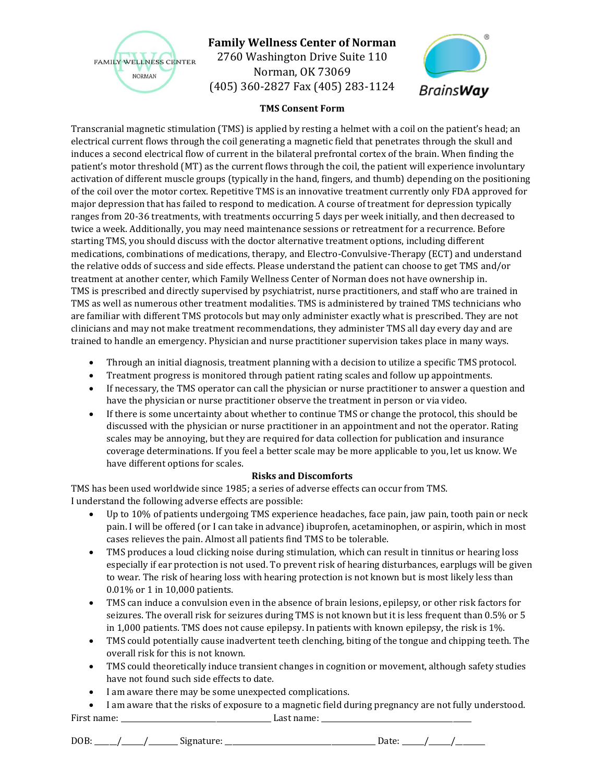

## **Family Wellness Center of Norman**

2760 Washington Drive Suite 110 Norman, OK 73069 (405) 360-2827 Fax (405) 283-1124



#### **TMS Consent Form**

Transcranial magnetic stimulation (TMS) is applied by resting a helmet with a coil on the patient's head; an electrical current flows through the coil generating a magnetic field that penetrates through the skull and induces a second electrical flow of current in the bilateral prefrontal cortex of the brain. When finding the patient's motor threshold (MT) as the current flows through the coil, the patient will experience involuntary activation of different muscle groups (typically in the hand, fingers, and thumb) depending on the positioning of the coil over the motor cortex. Repetitive TMS is an innovative treatment currently only FDA approved for major depression that has failed to respond to medication. A course of treatment for depression typically ranges from 20-36 treatments, with treatments occurring 5 days per week initially, and then decreased to twice a week. Additionally, you may need maintenance sessions or retreatment for a recurrence. Before starting TMS, you should discuss with the doctor alternative treatment options, including different medications, combinations of medications, therapy, and Electro-Convulsive-Therapy (ECT) and understand the relative odds of success and side effects. Please understand the patient can choose to get TMS and/or treatment at another center, which Family Wellness Center of Norman does not have ownership in. TMS is prescribed and directly supervised by psychiatrist, nurse practitioners, and staff who are trained in TMS as well as numerous other treatment modalities. TMS is administered by trained TMS technicians who are familiar with different TMS protocols but may only administer exactly what is prescribed. They are not clinicians and may not make treatment recommendations, they administer TMS all day every day and are trained to handle an emergency. Physician and nurse practitioner supervision takes place in many ways.

- Through an initial diagnosis, treatment planning with a decision to utilize a specific TMS protocol.
- Treatment progress is monitored through patient rating scales and follow up appointments.
- If necessary, the TMS operator can call the physician or nurse practitioner to answer a question and have the physician or nurse practitioner observe the treatment in person or via video.
- If there is some uncertainty about whether to continue TMS or change the protocol, this should be discussed with the physician or nurse practitioner in an appointment and not the operator. Rating scales may be annoying, but they are required for data collection for publication and insurance coverage determinations. If you feel a better scale may be more applicable to you, let us know. We have different options for scales.

### **Risks and Discomforts**

TMS has been used worldwide since 1985; a series of adverse effects can occur from TMS. I understand the following adverse effects are possible:

- Up to 10% of patients undergoing TMS experience headaches, face pain, jaw pain, tooth pain or neck pain. I will be offered (or I can take in advance) ibuprofen, acetaminophen, or aspirin, which in most cases relieves the pain. Almost all patients find TMS to be tolerable.
- TMS produces a loud clicking noise during stimulation, which can result in tinnitus or hearing loss especially if ear protection is not used. To prevent risk of hearing disturbances, earplugs will be given to wear. The risk of hearing loss with hearing protection is not known but is most likely less than 0.01% or 1 in 10,000 patients.
- TMS can induce a convulsion even in the absence of brain lesions, epilepsy, or other risk factors for seizures. The overall risk for seizures during TMS is not known but it is less frequent than 0.5% or 5 in 1,000 patients. TMS does not cause epilepsy. In patients with known epilepsy, the risk is 1%.
- TMS could potentially cause inadvertent teeth clenching, biting of the tongue and chipping teeth. The overall risk for this is not known.
- TMS could theoretically induce transient changes in cognition or movement, although safety studies have not found such side effects to date.
- I am aware there may be some unexpected complications.
- First name: \_\_\_\_\_\_\_\_\_\_\_\_\_\_\_\_\_\_\_\_\_\_\_\_\_\_\_\_\_\_\_\_\_\_\_\_\_\_\_\_\_ Last name: \_\_\_\_\_\_\_\_\_\_\_\_\_\_\_\_\_\_\_\_\_\_\_\_\_\_\_\_\_\_\_\_\_\_\_\_\_\_\_\_\_ • I am aware that the risks of exposure to a magnetic field during pregnancy are not fully understood.

DOB: \_\_\_\_\_\_/\_\_\_\_\_\_/\_\_\_\_\_\_\_\_ Signature: \_\_\_\_\_\_\_\_\_\_\_\_\_\_\_\_\_\_\_\_\_\_\_\_\_\_\_\_\_\_\_\_\_\_\_\_\_\_\_\_\_ Date: \_\_\_\_\_\_/\_\_\_\_\_\_/\_\_\_\_\_\_\_\_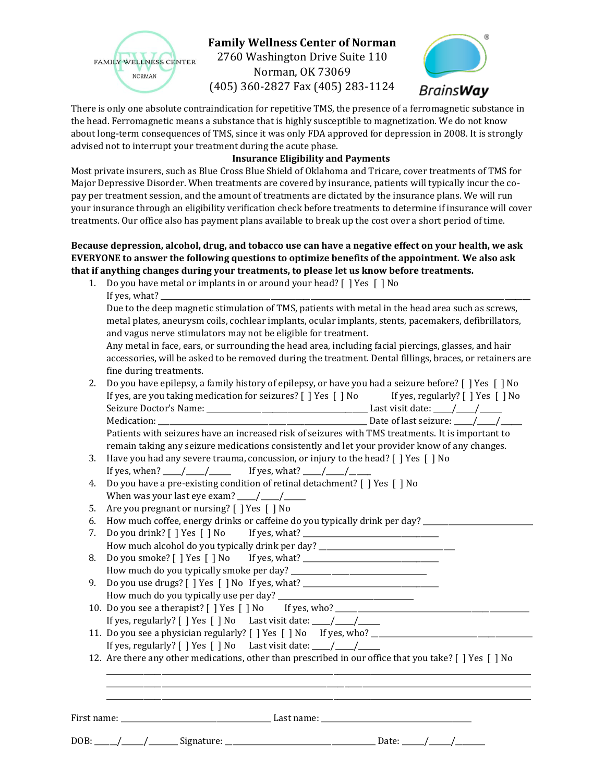

# **Family Wellness Center of Norman**

2760 Washington Drive Suite 110 Norman, OK 73069 (405) 360-2827 Fax (405) 283-1124



There is only one absolute contraindication for repetitive TMS, the presence of a ferromagnetic substance in the head. Ferromagnetic means a substance that is highly susceptible to magnetization. We do not know about long-term consequences of TMS, since it was only FDA approved for depression in 2008. It is strongly advised not to interrupt your treatment during the acute phase.

### **Insurance Eligibility and Payments**

Most private insurers, such as Blue Cross Blue Shield of Oklahoma and Tricare, cover treatments of TMS for Major Depressive Disorder. When treatments are covered by insurance, patients will typically incur the copay per treatment session, and the amount of treatments are dictated by the insurance plans. We will run your insurance through an eligibility verification check before treatments to determine if insurance will cover treatments. Our office also has payment plans available to break up the cost over a short period of time.

### **Because depression, alcohol, drug, and tobacco use can have a negative effect on your health, we ask EVERYONE to answer the following questions to optimize benefits of the appointment. We also ask that if anything changes during your treatments, to please let us know before treatments.**

1. Do you have metal or implants in or around your head? [ ] Yes [ ] No If yes, what? $\Box$ 

Due to the deep magnetic stimulation of TMS, patients with metal in the head area such as screws, metal plates, aneurysm coils, cochlear implants, ocular implants, stents, pacemakers, defibrillators, and vagus nerve stimulators may not be eligible for treatment.

Any metal in face, ears, or surrounding the head area, including facial piercings, glasses, and hair accessories, will be asked to be removed during the treatment. Dental fillings, braces, or retainers are fine during treatments.

2. Do you have epilepsy, a family history of epilepsy, or have you had a seizure before? [ ] Yes [ ] No If yes, are you taking medication for seizures? [ ] Yes [ ] No If yes, regularly? [ ] Yes [ ] No Seizure Doctor's Name: \_\_\_\_\_\_\_\_\_\_\_\_\_\_\_\_\_\_\_\_\_\_\_\_\_\_\_\_\_\_\_\_\_\_\_\_\_\_\_\_\_\_\_\_ Last visit date: \_\_\_\_\_/\_\_\_\_\_/\_\_\_\_\_\_ Medication: \_\_\_\_\_\_\_\_\_\_\_\_\_\_\_\_\_\_\_\_\_\_\_\_\_\_\_\_\_\_\_\_\_\_\_\_\_\_\_\_\_\_\_\_\_\_\_\_\_\_\_\_\_\_\_\_\_ Date of last seizure: \_\_\_\_\_/\_\_\_\_\_/\_\_\_\_\_\_ Patients with seizures have an increased risk of seizures with TMS treatments. It is important to

remain taking any seizure medications consistently and let your provider know of any changes. 3. Have you had any severe trauma, concussion, or injury to the head? [ ] Yes [ ] No

- If yes, when? \_\_\_\_\_/\_\_\_\_\_/\_\_\_\_\_\_ If yes, what? \_\_\_\_\_/\_\_\_\_\_/\_\_\_\_\_\_
- 4. Do you have a pre-existing condition of retinal detachment? [ ] Yes [ ] No When was your last eye exam?  $\frac{1}{\sqrt{2}}$
- 5. Are you pregnant or nursing? [ ] Yes [ ] No

6. How much coffee, energy drinks or caffeine do you typically drink per day?

- 7. Do you drink? [ ] Yes [ ] No If yes, what? \_\_\_\_\_\_\_\_\_\_\_\_\_\_\_\_\_\_\_\_\_\_\_\_\_\_\_\_\_\_\_\_\_\_ How much alcohol do you typically drink per day? \_\_\_\_\_\_\_\_\_\_\_\_\_\_\_\_\_\_\_\_\_\_\_\_\_\_\_\_\_\_\_
- 8. Do you smoke? [ ] Yes [ ] No If yes, what? \_\_\_\_\_\_\_\_\_\_\_\_\_\_\_\_\_\_\_\_\_\_\_\_\_\_\_\_\_\_\_\_\_\_ How much do you typically smoke per day? \_\_\_\_\_\_\_\_\_\_\_\_\_\_\_\_\_\_\_\_\_\_\_\_\_\_\_\_\_\_\_\_\_\_\_\_\_
- 9. Do you use drugs? [ ] Yes [ ] No If yes, what? \_\_\_\_\_\_\_\_\_\_\_\_\_\_\_\_\_\_\_\_\_\_\_\_\_\_\_\_\_\_ How much do you typically use per day? \_\_\_\_\_\_\_\_\_\_\_\_\_\_\_\_\_\_\_\_\_\_\_\_\_\_\_\_\_\_\_\_\_\_\_\_\_
- 10. Do you see a therapist? [ ] Yes [ ] No If yes, who? \_\_\_\_\_\_\_\_\_\_\_\_\_\_\_\_\_\_\_\_\_\_\_\_ If yes, regularly?  $[$  ] Yes  $[$  ] No Last visit date:  $\frac{1}{\sqrt{2}}$
- 11. Do you see a physician regularly? [ ] Yes [ ] No If yes, who? \_\_\_\_\_\_\_\_\_\_\_\_\_\_ If yes, regularly?  $[ ]$  Yes  $[ ]$  No Last visit date:  $\frac{1}{\sqrt{2}}$
- 12. Are there any other medications, other than prescribed in our office that you take? [ ] Yes [ ] No

\_\_\_\_\_\_\_\_\_\_\_\_\_\_\_\_\_\_\_\_\_\_\_\_\_\_\_\_\_\_\_\_\_\_\_\_\_\_\_\_\_\_\_\_\_\_\_\_\_\_\_\_\_\_\_\_\_\_\_\_\_\_\_\_\_\_\_\_\_\_\_\_\_\_\_\_\_\_\_\_\_\_\_\_\_\_\_\_\_\_\_\_\_\_\_\_\_\_\_\_\_\_\_\_\_\_\_\_\_\_\_\_\_\_\_\_ \_\_\_\_\_\_\_\_\_\_\_\_\_\_\_\_\_\_\_\_\_\_\_\_\_\_\_\_\_\_\_\_\_\_\_\_\_\_\_\_\_\_\_\_\_\_\_\_\_\_\_\_\_\_\_\_\_\_\_\_\_\_\_\_\_\_\_\_\_\_\_\_\_\_\_\_\_\_\_\_\_\_\_\_\_\_\_\_\_\_\_\_\_\_\_\_\_\_\_\_\_\_\_\_\_\_\_\_\_\_\_\_\_\_\_\_ \_\_\_\_\_\_\_\_\_\_\_\_\_\_\_\_\_\_\_\_\_\_\_\_\_\_\_\_\_\_\_\_\_\_\_\_\_\_\_\_\_\_\_\_\_\_\_\_\_\_\_\_\_\_\_\_\_\_\_\_\_\_\_\_\_\_\_\_\_\_\_\_\_\_\_\_\_\_\_\_\_\_\_\_\_\_\_\_\_\_\_\_\_\_\_\_\_\_\_\_\_\_\_\_\_\_\_\_\_\_\_\_\_\_\_\_

First name: \_\_\_\_\_\_\_\_\_\_\_\_\_\_\_\_\_\_\_\_\_\_\_\_\_\_\_\_\_\_\_\_\_\_\_\_\_\_\_\_\_ Last name: \_\_\_\_\_\_\_\_\_\_\_\_\_\_\_\_\_\_\_\_\_\_\_\_\_\_\_\_\_\_\_\_\_\_\_\_\_\_\_\_\_

DOB: \_\_\_\_\_\_/\_\_\_\_\_\_/\_\_\_\_\_\_\_\_ Signature: \_\_\_\_\_\_\_\_\_\_\_\_\_\_\_\_\_\_\_\_\_\_\_\_\_\_\_\_\_\_\_\_\_\_\_\_\_\_\_\_\_ Date: \_\_\_\_\_\_/\_\_\_\_\_\_/\_\_\_\_\_\_\_\_